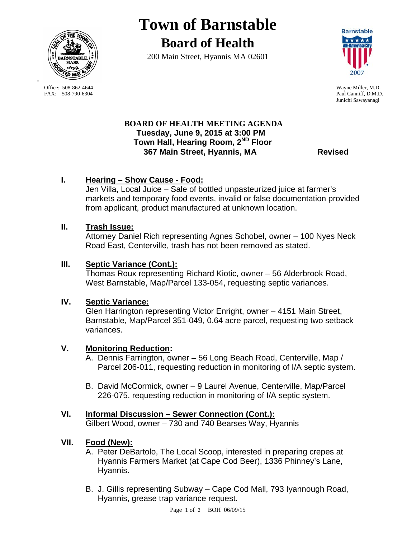

**Town of Barnstable Board of Health**

200 Main Street, Hyannis MA 02601



Paul Canniff, D.M.D. Junichi Sawayanagi

## **BOARD OF HEALTH MEETING AGENDA Tuesday, June 9, 2015 at 3:00 PM Town Hall, Hearing Room, 2ND Floor 367 Main Street, Hyannis, MA Revised**

# **I. Hearing – Show Cause - Food:**

Jen Villa, Local Juice – Sale of bottled unpasteurized juice at farmer's markets and temporary food events, invalid or false documentation provided from applicant, product manufactured at unknown location.

# **II. Trash Issue:**

Attorney Daniel Rich representing Agnes Schobel, owner – 100 Nyes Neck Road East, Centerville, trash has not been removed as stated.

# **III. Septic Variance (Cont.):**

Thomas Roux representing Richard Kiotic, owner – 56 Alderbrook Road, West Barnstable, Map/Parcel 133-054, requesting septic variances.

### **IV. Septic Variance:**

Glen Harrington representing Victor Enright, owner – 4151 Main Street, Barnstable, Map/Parcel 351-049, 0.64 acre parcel, requesting two setback variances.

### **V. Monitoring Reduction:**

- A. Dennis Farrington, owner 56 Long Beach Road, Centerville, Map / Parcel 206-011, requesting reduction in monitoring of I/A septic system.
- B. David McCormick, owner 9 Laurel Avenue, Centerville, Map/Parcel 226-075, requesting reduction in monitoring of I/A septic system.

# **VI. Informal Discussion – Sewer Connection (Cont.):**

Gilbert Wood, owner – 730 and 740 Bearses Way, Hyannis

### **VII. Food (New):**

- A. Peter DeBartolo, The Local Scoop, interested in preparing crepes at Hyannis Farmers Market (at Cape Cod Beer), 1336 Phinney's Lane, Hyannis.
- B. J. Gillis representing Subway Cape Cod Mall, 793 Iyannough Road, Hyannis, grease trap variance request.

Office: 508-862-4644 Wayne Miller, M.D.<br>
FAX: 508-790-6304 Paul Canniff. D.M.D

-